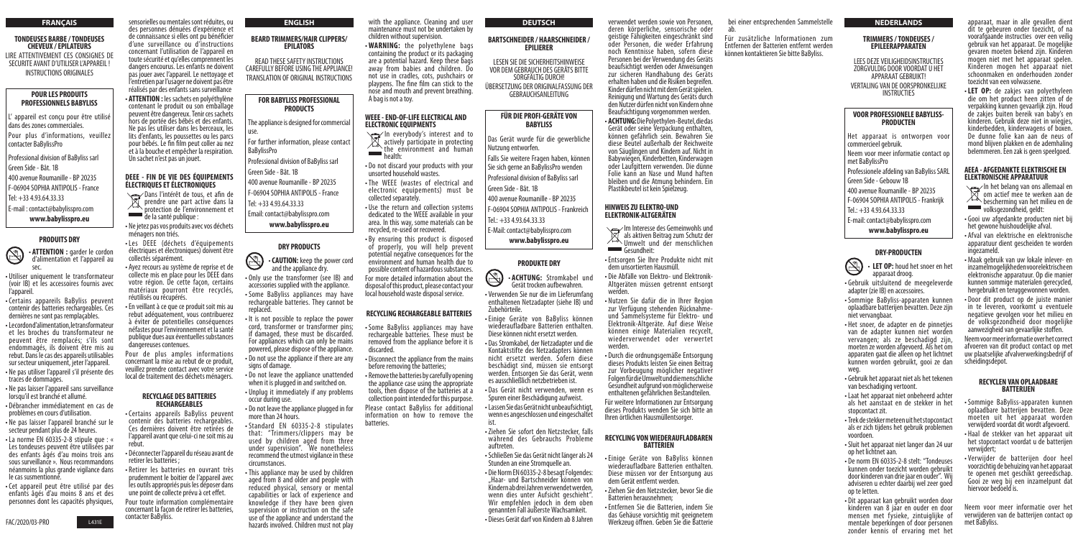#### **FRANÇAIS**

#### **TONDEUSES BARBE / TONDEUSES CHEVEUX / EPILATEURS** LIRE ATTENTIVEMENT CES CONSIGNES DE SECURITE AVANT D'UTILISER L'APPAREIL ! INSTRUCTIONS ORIGINALES

appareil est conçu pour être utilisé dans des zones commerciales.

#### **POUR LES PRODUITS PROFESSIONNELS BABYLISS**

Pour plus d'informations, veuillez contacter BaBylissPro

S • **ATTENTION :** garder le cordon d'alimentation et l'appareil au sec.

Professional division of BaByliss sarl Green Side - Bât. 1B

400 avenue Roumanille - BP 20235

F-06904 SOPHIA ANTIPOLIS - France Tel: +33 4.93.64.33.33

E-mail : contact@babylisspro.com

# **www.babylisspro.eu**

### **PRODUITS DRY**

The appliance is designed for commercia use.

For further information, please contact BaBylissPro

- Utiliser uniquement le transformateur (voir IB) et les accessoires fournis avec l'appareil.
- Certains appareils BaByliss peuvent contenir des batteries rechargeables. Ces dernières ne sont pas remplaçables.
- Le cordon d'alimentation, le transformateur et les broches du transformateur ne peuvent être remplacés; s'ils sont endommagés, ils doivent être mis au rebut. Dans le cas des appareils utilisables sur secteur uniquement, jeter l'appareil.
- Ne pas utiliser l'appareil s'il présente des traces de dommages.
- Ne pas laisser l'appareil sans surveillance lorsqu'il est branché et allumé.
- Débrancher immédiatement en cas de problèmes en cours d'utilisation.
- Ne pas laisser l'appareil branché sur le secteur pendant plus de 24 heures.
- La norme EN 60335-2-8 stipule que : « Les tondeuses peuvent être utilisées par des enfants âgés d'au moins trois ans sous surveillance ». Nous recommandons néanmoins la plus grande vigilance dans le cas susmentionné.
- Cet appareil peut être utilisé par des enfants âgés d'au moins 8 ans et des personnes dont les capacités physiques,

#### **ENGLISH**

#### **BEARD TRIMMERS/HAIR CLIPPERS/ EPILATORS**

READ THESE SAFETY INSTRUCTIONS CAREFULLY BEFORE USING THE APPLIANCE! TRANSLATION OF ORIGINAL INSTRUCTIONS

### **FOR BABYLISS PROFESSIONAL PRODUCTS**

Professional division of BaByliss sarl

Green Side - Bât. 1B

400 avenue Roumanille - BP 20235

F-06904 SOPHIA ANTIPOLIS - France

Tel: +33 4.93.64.33.33

- Email: contact@babylisspro.com
	-

**www.babylisspro.eu**

### **DRY PRODUCTS**

- In het belang van ons allemaal en<br>Im actief mee te werken aan de om actief mee te werken aan de bescherming van het milieu en de volksgezondheid, geldt:
- Gooi uw afgedankte producten niet bij het gewone huishoudelijke afval.
- Afval van elektrische en elektronische apparatuur dient gescheiden te worden ingezameld.
- Maak gebruik van uw lokale inlever- en inzamelmogelijkheden voor elektrische en elektronische apparatuur. Op die manier kunnen sommige materialen gerecycled, hergebruikt en teruggewonnen worden.
- Door dit product op de juiste manier in te leveren, voorkomt u eventuele negatieve gevolgen voor het milieu en de volksgezondheid door mogelijke aanwezigheid van gevaarlijke stoffen.
- **CAUTION:** keep the power cord and the appliance dry.
- Only use the transformer (see IB) and accessories supplied with the appliance.
- Some BaByliss appliances may have rechargeable batteries. They cannot be replaced.
- It is not possible to replace the power cord, transformer or transformer pins; if damaged, these must be discarded. For appliances which can only be mains powered, please dispose of the appliance.
- Do not use the appliance if there are any signs of damage.
- Do not leave the appliance unattended when it is plugged in and switched on.
- Unplug it immediately if any problems occur during use.
- Do not leave the appliance plugged in for more than 24 hours.
- Standard EN 60335-2-8 stipulates that: "Trimmers/clippers may be used by children aged from three under supervision". We nonetheless recommend the utmost vigilance in these circumstances.
- This appliance may be used by children aged from 8 and older and people with reduced physical, sensory or mental capabilities or lack of experience and knowledge if they have been given supervision or instruction on the safe use of the appliance and understand the hazards involved. Children must not play

bei einer entsprechenden Sammelstelle ab.

Für zusätzliche Informationen zum Entfernen der Batterien entfernt werden können kontaktieren Sie bitte BaByliss.

apparaat, maar in alle gevallen dient dit te gebeuren onder toezicht, of na voorafgaande instructies over een veilig gebruik van het apparaat. De mogelijke gevaren moeten bekend zijn. Kinderen mogen niet met het apparaat spelen. Kinderen mogen het apparaat niet schoonmaken en onderhouden zonder toezicht van een volwassene.

• **LET OP:** de zakjes van polyethyleen die om het product heen zitten of de verpakking kunnen gevaarlijk zijn. Houd de zakjes buiten bereik van baby's en kinderen. Gebruik deze niet in wiegies kinderbedden, kinderwagens of boxen. De dunne folie kan aan de neus of mond blijven plakken en de ademhaling belemmeren. Een zak is geen speelgoed.

In everybody's interest and to  $\mathbb{X}$  actively participate in protecting the environment and human health:

#### **AEEA - AFGEDANKTE ELEKTRISCHE EN ELEKTRONISCHE APPARATUUR**

Neem voor meer informatie over het correct afvoeren van dit product contact op met uw plaatselijke afvalverwerkingsbedrijf of scheidingsdepot.

### **RECYCLEN VAN OPLAADBARE BATTERIJEN**

- Sommige BaByliss-apparaten kunnen oplaadbare batterijen bevatten. Deze moeten uit het apparaat worden verwijderd voordat dit wordt afgevoerd.
- Haal de stekker van het apparaat uit het stopcontact voordat u de batterijen verwijdert;
- Verwijder de batterijen door heel voorzichtig de behuizing van het apparaat te openen met geschikt gereedschap. Gooi ze weg bij een inzamelpunt dat hiervoor bedoeld is.

Neem voor meer informatie over het verwijderen van de batterijen contact op met BaByliss.

- 
- 
- 
- 
- 

verwendet werden sowie von Personen, deren körperliche, sensorische oder geistige Fähigkeiten eingeschränkt sind oder Personen, die weder Erfahrung noch Kenntnisse haben, sofern diese Personen bei der Verwendung des Geräts beaufsichtigt werden oder Anweisungen zur sicheren Handhabung des Geräts erhalten haben und die Risiken begreifen. Kinder dürfen nicht mit dem Gerät spielen. Reinigung und Wartung des Geräts durch den Nutzer dürfen nicht von Kindern ohne Beaufsichtigung vorgenommen werden.<br>• **ACHTUNG:**DiePolvethvlen-Beutel.diedas

sensorielles ou mentales sont réduites, ou des personnes dénuées d'expérience et de connaissance si elles ont pu bénéficier d'une surveillance ou d'instructions concernant l'utilisation de l'appareil en toute sécurité et qu'elles comprennent les dangers encourus. Les enfants ne doivent pas jouer avec l'appareil. Le nettoyage et l'entretien par l'usager ne doivent pas être réalisés par des enfants sans surveillance

> **Gerät oder seine Verpackung enthalten,** können gefährlich sein. Bewahren Sie diese Beutel außerhalb der Reichweite von Säuglingen und Kindern auf. Nicht in Babywiegen, Kinderbetten, Kinderwagen oder Laufgittern verwenden. Die dünne Folie kann an Nase und Mund haften bleiben und die Atmung behindern. Ein Plastikbeutel ist kein Spielzeug.

• **ATTENTION :** les sachets en polyéthylène contenant le produit ou son emballage peuvent être dangereux. Tenir ces sachets hors de portée des bébés et des enfants. Ne pas les utiliser dans les berceaux, les lits d'enfants, les poussettes ou les parcs pour bébés. Le fin film peut coller au nez et à la bouche et empêcher la respiration. Un sachet n'est pas un jouet.

# **DEEE - FIN DE VIE DES ÉQUIPEMENTS ÉLECTRIQUES ET ÉLECTRONIQUES**

Dans l'intérêt de tous, et afin de  $\mathbb{Z}$  prendre une part active dans la protection de l'environnement et de la santé publique :

- Im Interesse des Gemeinwohls und als aktiven Beitrag zum Schutz der Umwelt und der menschlichen Gesundheit:
- Entsorgen Sie Ihre Produkte nicht mit dem unsortierten Hausmüll.
- Die Abfälle von Elektro- und Elektronik-Altgeräten müssen getrennt entsorgt werden.
- Nutzen Sie dafür die in Ihrer Region zur Verfügung stehenden Rücknahmeund Sammelsysteme für Elektro- und Elektronik-Altgeräte. Auf diese Weise können einige Materialien recycelt, wiederverwendet oder verwertet werden.
- Durch die ordnungsgemäße Entsorgung dieses Produkts leisten Sie einen Beitrag zur Vorbeugung möglicher negativer Folgen für die Umwelt und die menschliche Gesundheit aufgrund von möglicherweise enthaltenen gefährlichen Bestandteilen. Für weitere Informationen zur Entsorgung

• Ne jetez pas vos produits avec vos déchets

LEES DEZE VEILIGHEIDSINSTRUCTIES ZORGVULDIG DOOR VOORDAT U HET APPARAAT GEBRUIKT! VERTALING VAN DE OORSPRONKELIJKE **INSTRUCTIES** 

- ménagers non triés. • Les DEEE (déchets d'équipements électriques et électroniques) doivent être collectés séparément.
- Ayez recours au système de reprise et de collecte mis en place pour les DEEE dans votre région. De cette façon, certains matériaux pourront être recyclés, réutilisés ou récupérés.
- En veillant à ce que ce produit soit mis au rebut adéquatement, vous contribuerez à éviter de potentielles conséquences néfastes pour l'environnement et la santé publique dues aux éventuelles substances dangereuses contenues.

**LET OP:** houd het snoer en het apparaat droog.

Pour de plus amples informations concernant la mise au rebut de ce produit, veuillez prendre contact avec votre service local de traitement des déchets ménagers.

#### **RECYCLAGE DES BATTERIES RECHARGEABLES**

- Certains appareils BaByliss peuvent contenir des batteries rechargeables. Ces dernières doivent être retirées de l'appareil avant que celui-ci ne soit mis au rebut.
- Déconnecter l'appareil du réseau avant de retirer les batteries ;
- Retirer les batteries en ouvrant très prudemment le boitier de l'appareil avec les outils appropriés puis les déposer dans une point de collecte prévu à cet effet.

Pour toute information complémentaire concernant la façon de retirer les batteries, contacter BaByliss.

with the appliance. Cleaning and user maintenance must not be undertaken by children without supervision.

• **WARNING:** the polyethylene bags containing the product or its packaging are a potential hazard. Keep these bags away from babies and children. Do not use in cradles, cots, pushchairs or playpens. The fine film can stick to the nose and mouth and prevent breathing. A bag is not a toy.

#### **WEEE - END-OF-LIFE ELECTRICAL AND ELECTRONIC EQUIPMENTS**

- Do not discard your products with your unsorted household wastes.
- The WEEE (wastes of electrical and electronic equipements) must be collected separately.
- Use the return and collection systems dedicated to the WEEE available in your area. In this way, some materials can be recycled, re-used or recovered.

• By ensuring this product is disposed of properly, you will help prevent potential negative consequences for the environment and human health due to possible content of hazardous substances. For more detailed information about the disposal of this product, please contact your local household waste disposal service.

# **RECYCLING RECHARGEABLE BATTERIES**

- Some BaByliss appliances may have rechargeable batteries. These must be removed from the appliance before it is discarded.
- Disconnect the appliance from the mains before removing the batteries;

• Remove the batteries by carefully opening the appliance case using the appropriate tools, then dispose of the batteries at a collection point intended for this purpose.

Please contact BaByliss for additional information on how to remove the batteries.

#### **DEUTSCH**

#### **BARTSCHNEIDER / HAARSCHNEIDER / EPILIERER**

LESEN SIE DIE SICHERHEITSHINWEISE VOR DEM GEBRAUCH DES GERÄTS BITTE SORGFÄLTIG DURCH! ÜBERSETZUNG DER ORIGINALFASSUNG DER GEBRAUCHSANLEITUNG

### **FÜR DIE PROFI-GERÄTE VON BABYLISS**

Das Gerät wurde für die gewerbliche Nutzung entworfen.

Falls Sie weitere Fragen haben, können Sie sich gerne an BaBylissPro wenden Professional division of BaByliss sarl

Green Side - Bât. 1B

400 avenue Roumanille - BP 20235

F-06904 SOPHIA ANTIPOLIS - Frankreich

Tel.: +33 4.93.64.33.33

E-Mail: contact@babylisspro.com

#### **www.babylisspro.eu**

#### **PRODUKTE DRY**



• **ACHTUNG:** Stromkabel und Gerät trocken aufbewahren.

- Verwenden Sie nur die im Lieferumfang enthaltenen Netzadapter (siehe IB) und Zubehörteile.
- Einige Geräte von BaByliss können wiederaufladbare Batterien enthalten. Diese können nicht ersetzt werden.
- Das Stromkabel, der Netzadapter und die Kontaktstifte des Netzadapters können nicht ersetzt werden. Sofern diese beschädigt sind, müssen sie entsorgt werden. Entsorgen Sie das Gerät, wenn es ausschließlich netzbetrieben ist.
- Das Gerät nicht verwenden, wenn es Spuren einer Beschädigung aufweist.
- Lassen Sie das Gerät nicht unbeaufsichtigt, wenn es angeschlossen und eingeschaltet ist.
- Ziehen Sie sofort den Netzstecker, falls während des Gebrauchs Probleme auftreten.
- Schließen Sie das Gerät nicht länger als 24 Stunden an eine Stromquelle an.
- Die Norm EN 60335-2-8 besagt Folgendes: "Haar- und Bartschneider können von Kindern ab drei Jahren verwendet werden, wenn dies unter Aufsicht geschieht". Wir empfehlen jedoch in dem oben genannten Fall äußerste Wachsamkeit.
- Dieses Gerät darf von Kindern ab 8 Jahren



#### **HINWEIS ZU ELEKTRO-UND ELEKTRONIK-ALTGERÄTEN**

dieses Produkts wenden Sie sich bitte an Ihren örtlichen Hausmüllentsorger.

# **RECYCLING VON WIEDERAUFLADBAREN BATTERIEN**

- Einige Geräte von BaByliss können wiederaufladbare Batterien enthalten. Diese müssen vor der Entsorgung aus dem Gerät entfernt werden.
- Ziehen Sie den Netzstecker, bevor Sie die Batterien herausnehmen;
- Entfernen Sie die Batterien, indem Sie das Gehäuse vorsichtig mit geeignetem Werkzeug öffnen. Geben Sie die Batterie

### **NEDERLANDS**

#### **TRIMMERS / TONDEUSES / EPILEERAPPARATEN**

# **VOOR PROFESSIONELE BABYLISS-PRODUCTEN**

Het apparaat is ontworpen voor commercieel gebruik. Neem voor meer informatie contact op met BaBylissPro Professionele afdeling van BaByliss SARL Green Side - Gebouw 1B 400 avenue Roumanille - BP 20235 F-06904 SOPHIA ANTIPOLIS - Frankrijk Tel.: +33 4.93.64.33.33 E-mail: contact@babylisspro.com **www.babylisspro.eu**

# **DRY-PRODUCTEN**

- Gebruik uitsluitend de meegeleverde adapter (zie IB) en accessoires.
- Sommige BaByliss-apparaten kunnen oplaadbare batterijen bevatten. Deze zijn niet vervangbaar.
- Het snoer, de adapter en de pinnetjes van de adapter kunnen niet worden vervangen; als ze beschadigd zijn, moeten ze worden afgevoerd. Als het om apparaten gaat die alleen op het lichtnet kunnen worden gebruikt, gooi ze dan weg.
- Gebruik het apparaat niet als het tekenen van beschadiging vertoont.
- Laat het apparaat niet onbeheerd achter als het aanstaat en de stekker in het stopcontact zit.
- Trek de stekker meteen uit het stopcontact als er zich tijdens het gebruik problemen voordoen.
- Sluit het apparaat niet langer dan 24 uur op het lichtnet aan.
- De norm EN 60335-2-8 stelt: "Tondeuses kunnen onder toezicht worden gebruikt door kinderen van drie jaar en ouder". Wij adviseren u echter daarbij wel zeer goed op te letten.
- Dit apparaat kan gebruikt worden door kinderen van 8 jaar en ouder en door mensen met fysieke, zintuiglijke of mentale beperkingen of door personen zonder kennis of ervaring met het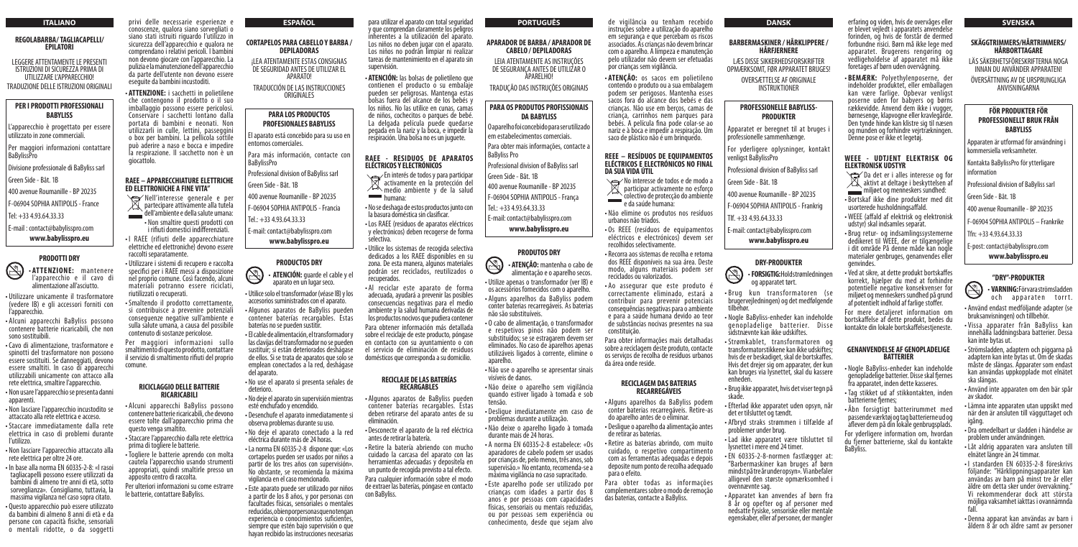privi delle necessarie esperienze e conoscenze, qualora siano sorvegliati o siano stati istruiti riguardo l'utilizzo in sicurezza dell'apparecchio e qualora ne comprendano i relativi pericoli. I bambini non devono giocare con l'apparecchio. La pulizia e la manutenzione dell'apparecchio da parte dell'utente non devono essere eseguite da bambini incustoditi.

• **ATTENZIONE:** i sacchetti in polietilene che contengono il prodotto o il suo imballaggio possono essere pericolosi. Conservare i sacchetti lontano dalla portata di bambini e neonati. Non utilizzarli in culle, lettini, passeggini o box per bambini. La pellicola sottile può aderire a naso e bocca e impedire la respirazione. Il sacchetto non è un giocattolo.

# **RAEE – APPARECCHIATURE ELETTRICHE ED ELETTRONICHE A FINE VITA"**

- Nell'interesse generale e per  $X$  partecipare attivamente alla tutela dell'ambiente e della salute umana:
- Non smaltire questi prodotti con i rifiuti domestici indifferenziati.
- I RAEE (rifiuti delle apparecchiature elettriche ed elettroniche) devono essere raccolti separatamente.
- Utilizzare i sistemi di recupero e raccolta specifici per i RAEE messi a disposizione nel proprio comune. Così facendo, alcuni materiali potranno essere riciclati, riutilizzati o recuperati.
- •Smaltendo il prodotto correttamente, si contribuisce a prevenire potenziali conseguenze negative sull'ambiente e sulla salute umana, a causa del possibile contenuto di sostanze pericolose.

Per maggiori informazioni sullo smaltimento di questo prodotto, contattare il servizio di smaltimento rifiuti del proprio comune.

#### **RICICLAGGIO DELLE BATTERIE RICARICABILI**

- En interés de todos y para participar activamente en la protección del  $\sqrt{\phantom{a}}$  medio ambiente v de la salud **humana:**
- No se deshaga de estos productos junto con la basura doméstica sin clasificar.
- •Los RAEE (residuos de aparatos eléctricos y electrónicos) deben recogerse de forma selectiva.
- Utilice los sistemas de recogida selectiva dedicados a los RAEE disponibles en su zona. De esta manera, algunos materiales podrán ser reciclados, reutilizados o recuperados.
- Al reciclar este aparato de forma adecuada, ayudará a prevenir las posibles consecuencias negativas para el medio ambiente y la salud humana derivadas de los productos nocivos que pudiera contener Para obtener información más detallada sobre el reciclaje de este producto, póngase en contacto con su ayuntamiento o con el servicio de eliminación de residuos domésticos que corresponda a su domicilio.

- Alcuni apparecchi BaByliss possono contenere batterie ricaricabili, che devono essere tolte dall'apparecchio prima che questo venga smaltito.
- Staccare l'apparecchio dalla rete elettrica prima di togliere le batterie.
- Togliere le batterie aprendo con molta cautela l'apparecchio usando strumenti appropriati, quindi smaltirle presso un apposito centro di raccolta.
- Per ulteriori informazioni su come estrarre le batterie, contattare BaByliss.

para utilizar el aparato con total seguridad y que comprendan claramente los peligros inherentes a la utilización del aparato. Los niños no deben jugar con el aparato. Los niños no podrán limpiar ni realizar tareas de mantenimiento en el aparato sin supervisión.

• **ATENCIÓN:** las bolsas de polietileno que contienen el producto o su embalaje pueden ser peligrosas. Mantenga estas bolsas fuera del alcance de los bebés y los niños. No las utilice en cunas, camas de niños, cochecitos o parques de bebé. La delgada película puede quedarse pegada en la nariz y la boca, e impedir la respiración. Una bolsa no es un juguete.

# **RAEE - RESIDUOS DE APARATOS ELÉCTRICOS Y ELECTRÓNICOS**

Per maggiori informazioni contattare **BaBylissPro** 

#### **RECICLAJE DE LAS BATERÍAS RECARGABLES**

- Algunos aparatos de BaByliss pueden contener baterías recargables. Estas deben retirarse del aparato antes de su eliminación.
- Desconecte el aparato de la red eléctrica antes de retirar la batería.
- Retire la batería abriendo con mucho cuidado la carcasa del aparato con las herramientas adecuadas y deposítela en un punto de recogida previsto a tal efecto. Para cualquier información sobre el modo de extraer las baterías, póngase en contacto con BaByliss.

Para más información, contacte con **BaBylissPro** 

de vigilância ou tenham recebido instruções sobre a utilização do aparelho em segurança e que percebam os riscos associados. As crianças não devem brincar com o aparelho. A limpeza e manutenção pelo utilizador não devem ser efetuadas

por crianças sem vigilância.

• **ATENÇÃO:** os sacos em polietileno contendo o produto ou a sua embalagem podem ser perigosos. Mantenha esses sacos fora do alcance dos bebés e das crianças. Não use em berços, camas de criança, carrinhos nem parques para bebés. A película fina pode colar-se ao nariz e à boca e impedir a respiração. Um

saco de plástico não é um brinquedo. **REEE – RESÍDUOS DE EQUIPAMENTOS ELÉCTRICOS E ELECTRÓNICOS NO FINAL** 

- **ATENCIÓN:** guarde el cable y el<br>aparato en un lugar seco. • Utilice solo el transformador (véase IB) y los
- accesorios suministrados con el aparato. • Algunos aparatos de BaByliss pueden
- contener baterías recargables. Estas baterías no se pueden sustitir.
- El cable de alimentación, el transformador y las clavijas del transformador no se pueden sustituir; si están deteriorados deshágase de ellos. Si se trata de aparatos que solo se emplean conectados a la red, deshágase del aparato.
- No use el aparato si presenta señales de deterioro.
- No deje el aparato sin supervisión mientras esté enchufado y encendido.
- Desenchufe el aparato inmediatamente si observa problemas durante su uso.
- No deje el aparato conectado a la red eléctrica durante más de 24 horas.
- La norma EN 60335-2-8 dispone que: «Los cortapelos pueden ser usados por niños a partir de los tres años con supervisión». No obstante, se recomienda la máxima vigilancia en el caso mencionado.
- Este aparato puede ser utilizado por niños a partir de los 8 años, y por personas con facultades físicas, sensoriales o mentales reducidas, o bien por personas que no tengan experiencia o conocimientos suficientes, siempre que estén bajo supervisión o que hayan recibido las instrucciones necesarias

**DA SUA VIDA ÚTIL** No interesse de todos e de modo a participar activamente no esforço colectivo de protecção do ambiente  $\mathcal{L}^{\text{max}}$ e da saúde humana:

Para obter mais informações, contacte a BaByliss Pro

- Não elimine os produtos nos resíduos urbanos não triados.
- Os REEE (resíduos de equipamentos eléctricos e electrónicos) devem ser recolhidos selectivamente.
- Recorra aos sistemas de recolha e retoma dos REEE disponíveis na sua área. Deste modo, alguns materiais podem ser reciclados ou valorizados.
- Ao assegurar que este produto é correctamente eliminado, estará a contribuir para prevenir potenciais consequências negativas para o ambiente e para a saúde humana devido ao teor de substâncias nocivas presentes na sua constituição.

Para obter informações mais detalhadas sobre a reciclagem deste produto, contacte os serviços de recolha de resíduos urbanos da área onde reside.

#### **RECICLAGEM DAS BATERIAS RECARREGÁVEIS**

- Alguns aparelhos da BaByliss podem conter baterias recarregáveis. Retire-as do aparelho antes de o eliminar.
- Desligue o aparelho da alimentação antes de retirar as baterias.
- Retire as baterias abrindo, com muito cuidado, o respetivo compartimento com as ferramentas adequadas e depois deposite num ponto de recolha adequado para o efeito.

Para obter todas as informações complementares sobre o modo de remoção das baterias, contacte a BaByliss.

#### **ITALIANO**

#### **REGOLABARBA/ TAGLIACAPELLI/ EPILATORI**

LEGGERE ATTENTAMENTE LE PRESENTI ISTRUZIONI DI SICUREZZA PRIMA DI UTILIZZARE L'APPARECCHIO! TRADUZIONE DELLE ISTRUZIONI ORIGINALI

# **PER I PRODOTTI PROFESSIONALI BABYLISS**

L'apparecchio è progettato per essere utilizzato in zone commerciali.

Divisione professionale di BaByliss sarl

Green Side - Bât. 1B

400 avenue Roumanille - BP 20235

F-06904 SOPHIA ANTIPOLIS - France

Tel: +33 4.93.64.33.33

S

E-mail : contact@babylisspro.com **www.babylisspro.eu**

### **PRODOTTI DRY**

• **ATTENZIONE:** mantenere l'apparecchio e il cavo di alimentazione all'asciutto.

- Da det er i alles interesse og for  $\chi^2$  aktivt at deltage i beskyttelsen af miljøet og menneskers sundhed:
- Bortskaf ikke dine produkter med dit usorterede husholdningsaffald.
- WEEE (affald af elektrisk og elektronisk udstyr) skal indsamles separat.
- Brug retur- og indsamlingssystemerne dedikeret til WEEE, der er tilgængelige i dit område På denne måde kan nogle materialer genbruges, genanvendes eller genvindes.
- Ved at sikre, at dette produkt bortskaffes korrekt, hjælper du med at forhindre potentielle negative konsekvenser for miljøet og menneskers sundhed på grund af potentielt indhold af farlige stoffer.
- Utilizzare unicamente il trasformatore (vedere IB) e gli accessori forniti con l'apparecchio.
- Alcuni apparecchi BaByliss possono contenere batterie ricaricabili, che non sono sostituibili.
- Cavo di alimentazione, trasformatore e spinotti del trasformatore non possono essere sostituiti. Se danneggiati, devono essere smaltiti. In caso di apparecchi utilizzabili unicamente con attacco alla rete elettrica, smaltire l'apparecchio.
- Non usare l'apparecchio se presenta danni apparenti.
- Non lasciare l'apparecchio incustodito se attaccato alla rete elettrica e acceso.
- Staccare immediatamente dalla rete elettrica in caso di problemi durante l'utilizzo.
- Non lasciare l'apparecchio attaccato alla rete elettrica per oltre 24 ore.
- In base alla norma EN 60335-2-8: «I rasoi tagliacapelli possono essere utilizzati da bambini di almeno tre anni di età, sotto sorveglianza». Consigliamo, tuttavia, la massima vigilanza nel caso sopra citato.
- Questo apparecchio può essere utilizzato da bambini di almeno 8 anni di età e da persone con capacità fisiche, sensoriali o mentali ridotte, o da soggetti

**ESPAÑOL**

#### **CORTAPELOS PARA CABELLO Y BARBA / DEPILADORAS**

¡LEA ATENTAMENTE ESTAS CONSIGNAS DE SEGURIDAD ANTES DE UTILIZAR EL APARATO!

TRADUCCIÓN DE LAS INSTRUCCIONES ORIGINALES

# **PARA LOS PRODUCTOS PROFESIONALES BABYLISS**

El aparato está concebido para su uso en entornos comerciales.

Professional division of BaByliss sarl

Green Side - Bât. 1B

- 400 avenue Roumanille BP 20235
- F-06904 SOPHIA ANTIPOLIS Francia

Tel.: +33 4.93.64.33.33

E-mail: contact@babylisspro.com **www.babylisspro.eu**

# **PRODUCTOS DRY**



#### **PORTUGUÊS**

#### **APARADOR DE BARBA / APARADOR DE CABELO / DEPILADORAS**

LEIA ATENTAMENTE AS INSTRUÇÕES DE SEGURANÇA ANTES DE UTILIZAR O APARELHO!

TRADUÇÃO DAS INSTRUÇÕES ORIGINAIS

# **PARA OS PRODUTOS PROFISSIONAIS DA BABYLISS**

O aparelho foi concebido para ser utilizado em estabelecimentos comerciais.

Professional division of BaByliss sarl

Green Side - Bât. 1B

400 avenue Roumanille - BP 20235

F-06904 SOPHIA ANTIPOLIS - França

Tel.: +33 4.93.64.33.33

E-mail: contact@babylisspro.com

# **www.babylisspro.eu**

### **PRODUTOS DRY**



• **ATENÇÃO:** mantenha o cabo de alimentação e o aparelho secos.

- Utilize apenas o transformador (ver IB) e os acessórios fornecidos com o aparelho.
- Alguns aparelhos da BaByliss podem conter baterias recarregáveis. As baterias não são substituíveis.
- O cabo de alimentação, o transformador e respetivos pinos não podem ser substituídos; se se estragarem devem ser eliminados. No caso de aparelhos apenas utilizáveis ligados à corrente, elimine o aparelho.
- Não use o aparelho se apresentar sinais visíveis de danos.
- Não deixe o aparelho sem vigilância quando estiver ligado à tomada e sob tensão.
- Desligue imediatamente em caso de problemas durante a utilização.
- Não deixe o aparelho ligado à tomada durante mais de 24 horas.
- A norma EN 60335-2-8 estabelece: «Os aparadores de cabelo podem ser usados por crianças de, pelo menos, três anos, sob supervisão.» No entanto, recomenda-se a máxima vigilância no caso supracitado.
- Este aparelho pode ser utilizado por crianças com idades a partir dos 8 anos e por pessoas com capacidades físicas, sensoriais ou mentais reduzidas, ou por pessoas sem experiência ou conhecimento, desde que sejam alvo

#### **DANSK**

# **BARBERMASKINER / HÅRKLIPPERE / HÅRFJERNERE**

LÆS DISSE SIKKERHEDSFORSKRIFTER OPMÆRKSOMT, FØR APPARATET BRUGES!

> OVERSÆTTELSE AF ORIGINALE INSTRUKTIONER

# **PROFESSIONELLE BABYLISS-PRODUKTER**

Apparatet er beregnet til at bruges i professionelle sammenhænge.

For yderligere oplysninger, kontakt venligst BaBylissPro

Professional division of BaByliss sarl

Green Side - Bât. 1B

400 avenue Roumanille - BP 20235

F-06904 SOPHIA ANTIPOLIS - Frankrig

Tlf. +33 4.93.64.33.33

E-mail: contact@babylisspro.com **www.babylisspro.eu**

# **DRY-PRODUKTER**



- Brug kun transformatoren (se brugervejledningen) og det medfølgende tilbehør.
- Nogle BaByliss-enheder kan indeholde genopladelige batterier. Disse sidstnævnte kan ikke udskiftes.
- Strømkablet, transformatoren og transformatorstikkene kan ikke udskiftes; hvis de er beskadiget, skal de bortskaffes. Hvis det drejer sig om apparater, der kun kan bruges via lysnettet, skal du kassere enheden.
- Brug ikke apparatet, hvis det viser tegn på skade.
- Efterlad ikke apparatet uden opsyn, når det er tilsluttet og tændt.
- Afbryd straks strømmen i tilfælde af problemer under brug.
- Lad ikke apparatet være tilsluttet til lysnettet i mere end 24 timer.
- EN 60335-2-8-normen fastlægger at: "Barbermaskiner kan bruges af børn mindst på tre år under opsyn». Vi anbefaler alligevel den største opmærksomhed i ovennævnte sag.
- Apparatet kan anvendes af børn fra 8 år og opefter og af personer med nedsatte fysiske, sensoriske eller mentale egenskaber, eller af personer, der mangler

erfaring og viden, hvis de overvåges eller er blevet vejledt i apparatets anvendelse forinden, og hvis de forstår de dermed forbundne risici. Børn må ikke lege med apparatet. Brugerens rengøring og vedligeholdelse af apparatet må ikke foretages af børn uden overvågning.

• **BEMÆRK:** Polyethylenposerne, der indeholder produktet, eller emballagen kan være farlige. Opbevar venligst poserne uden for babyers og børns rækkevidde. Anvend dem ikke i vugger, børnesenge, klapvogne eller kravlegårde. Den tynde hinde kan klistre sig til næsen og munden og forhindre vejrtrækningen. Denne pose er ikke et legetøj.

# **WEEE - UDTJENT ELEKTRISK OG ELEKTRONISK UDSTYR**

For mere detaljeret information om bortskaffelse af dette produkt, bedes du kontakte din lokale bortskaffelsestjeneste.

#### **GENANVENDELSE AF GENOPLADELIGE BATTERIER**

- Nogle BaByliss-enheder kan indeholde genopladelige batterier. Disse skal fjernes fra apparatet, inden dette kasseres.
- Tag stikket ud af stikkontakten, inden batterierne fjernes;
- Åbn forsigtigt batterirummet med passende værktøj og tag batterierne ud og aflever dem på din lokale genbrugsplads.

For yderligere information om, hvordan du fjerner batterierne, skal du kontakte BaByliss.

#### **SVENSKA**

# **SKÄGGTRIMMERS/HÅRTRIMMERS/ HÅRBORTTAGARE**

LÄS SÄKERHETSFÖRESKRIFTERNA NOGA INNAN DU ANVÄNDER APPARATEN!

ÖVERSÄTTNING AV DE URSPRUNGLIGA ANVISNINGARNA

# **FÖR PRODUKTER FÖR PROFESSIONELLT BRUK FRÅN BABYLISS**

Apparaten är utformad för användning i kommersiella verksamheter.

Kontakta BaBylissPro för ytterligare information

Professional division of BaByliss sarl

Green Side - Bât. 1B

400 avenue Roumanille - BP 20235

F-06904 SOPHIA ANTIPOLIS – Frankrike

Tfn: +33 4.93.64.33.33

E-post: contact@babylisspro.com **www.babylisspro.eu**

#### **"DRY"-PRODUKTER**

- - **VARNING:** Förvara strömsladden och apparaten torrt
- Använd endast medföljande adapter (se bruksanvisningen) och tillbehör.
- Vissa apparater från BaByliss kan innehålla laddningsbara batterier. Dessa kan inte bytas ut.
- Strömsladden, adaptern och piggarna på adaptern kan inte bytas ut. Om de skadas måste de slängas. Apparater som endast kan användas uppkopplade mot elnätet ska slängas.
- Använd inte apparaten om den bär spår av skador.
- Lämna inte apparaten utan uppsikt med när den är ansluten till vägguttaget och igång.
- Dra omedelbart ur sladden i händelse av problem under användningen.
- Låt aldrig apparaten vara ansluten till elnätet längre än 24 timmar.
- I standarden EN 60335-2-8 föreskrivs följande: "Hårklippningsapparater kan användas av barn på minst tre år eller äldre om detta sker under övervakning." Vi rekommenderar dock att största möjliga vaksamhet iakttas i ovannämnda fall.
- Denna apparat kan användas av barn i åldern 8 år och äldre samt av personer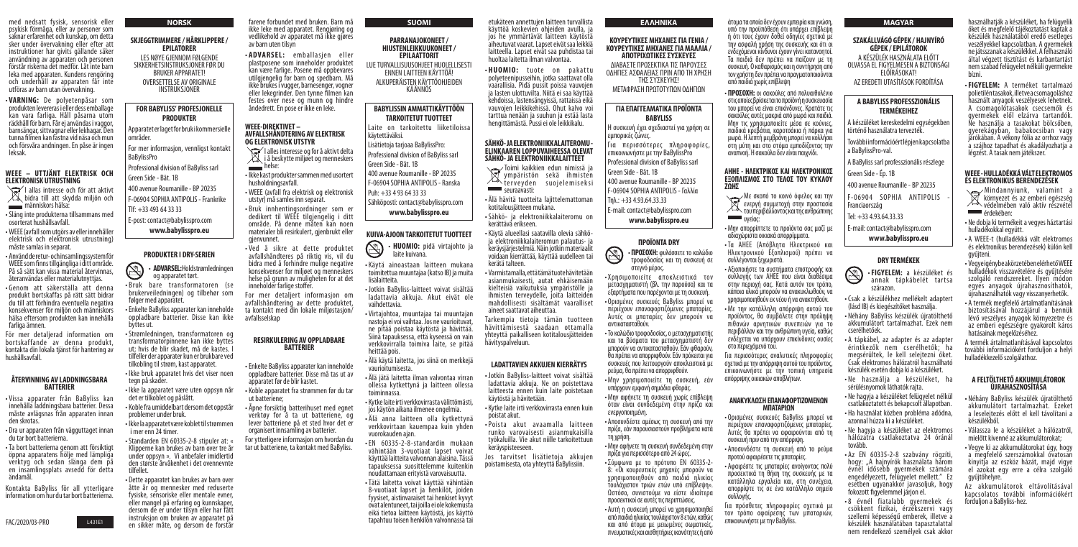med nedsatt fysisk, sensorisk eller psykisk förmåga, eller av personer som saknar erfarenhet och kunskap, om detta sker under övervakning eller efter att instruktioner har givits gällande säker användning av apparaten och personen förstår riskerna det medför. Låt inte barn leka med apparaten. Kundens rengöring och underhåll av apparaten får inte utföras av barn utan övervakning.

I allas intresse och för att aktivt **bidra till att skydda miljön och** människors hälsa:

• **VARNING:** De polyetenpåsar som produkten levereras i eller dess emballage kan vara farliga. Håll påsarna utom räckhåll för barn. Får ej användas i vaggor, barnsängar, sittvagnar eller lekhagar. Den tunna filmen kan fastna vid näsa och mun och försvåra andningen. En påse är ingen leksak.

#### **WEEE – UTTJÄNT ELEKTRISK OCH ELEKTRONISK UTRUSTNING**

- Släng inte produkterna tillsammans med osorterat hushållsavfall.
- WEEE (avfall som utgörs av eller innehåller elektrisk och elektronisk utrustning) måste samlas in separat.
- Använd de retur- och insamlingssystem för WEEE som finns tillgängliga i ditt område. På så sätt kan vissa material återvinnas, återanvändas eller materialutnyttjas.
- Genom att säkerställa att denna produkt bortskaffas på rätt sätt bidrar du till att förhindra eventuella negativa konsekvenser för miljön och människors hälsa eftersom produkten kan innehålla farliga ämnen.

**· HUOMIO:** tuote on pakattu polyeteenipusseihin, jotka saattavat olla vaarallisia. Pidä pussit poissa vauvojen ja lasten ulottuvilta. Niitä ei saa käyttää kehdoissa, lastensängyissä, rattaissa eikä vauvojen leikkikehissä. Ohut kalvo voi tarttua nenään ja suuhun ja estää lasta hengittämästä. Pussi ei ole leikkikalu.

Toimi kaikkien edun nimissä ja ympäristön sekä ihmisten  $\check{\ }$ terveyden suojelemiseksi seuraavasti:

För mer detaljerad information om bortskaffande av denna produkt, kontakta din lokala tjänst för hantering av hushållsavfall.

#### **ÅTERVINNING AV LADDNINGSBARA BATTERIER**

- Vissa apparater från BaByliss kan innehålla laddningsbara batterier. Dessa måste avlägsnas från apparaten innan den skrotas.
- Dra ur apparaten från vägguttaget innan du tar bort batterierna.
- Ta bort batterierna genom att försiktigt öppna apparatens hölje med lämpliga verktyg och sedan slänga dem på en insamlingsplats avsedd för detta ändamål.

Jos tarvitset lisätietoja akkujen poistamisesta, ota yhteyttä BaBylissiin.

Kontakta BaByliss för all ytterligare information om hur du tar bort batterierna.

FAC/2020/03-PRO L431E1

For mer informasjon, vennligst kontakt **BaBylissPro** 

etukäteen annettujen laitteen turvallista käyttöä koskevien ohjeiden avulla, ja jos he ymmärtävät laitteen käytöstä aiheutuvat vaarat. Lapset eivät saa leikkiä laitteella. Lapset eivät saa puhdistaa tai huoltaa laitetta ilman valvontaa.

S • **ADVARSEL:** Hold strømledningen og apparatet tørt.

#### **SÄHKÖ- JA ELEKTRONIIKKALAITEROMU - ELINKAAREN LOPPUVAIHEESSA OLEVAT SÄHKÖ- JA ELEKTRONIIKKALAITTEET**

• ADVARSEL: emballasjen eller plastposene som inneholder produktet kan være farlige. Posene må oppbevares utilgjengelig for barn og spedbarn. Må ikke brukes i vugger, barnesenger, vogner eller lekegrinder. Den tynne filmen kan festes over nese og munn og hindre åndedrett. En pose er ikke en leke.

- Älä hävitä tuotteita lajittelemattoman kotitalousjätteen mukana.
- Sähkö- ja elektroniikkalaiteromu on kerättävä erikseen.
- Käytä alueellasi saatavilla olevia sähköja elektroniikkalaiteromun palautus- ja keräysjärjestelmiä. Näin jotkin materiaalit voidaan kierrättää, käyttää uudelleen tai kerätä talteen.
- Varmistamalla, että tämä tuote hävitetään asianmukaisesti, autat ehkäisemään kielteisiä vaikutuksia ympäristölle ja ihmisten terveydelle, joita laitteiden mahdollisesti sisältämät vaaralliset aineet saattavat aiheuttaa.

Tarkempia tietoja tämän tuotteen hävittämisestä saadaan ottamalla yhteyttä paikalliseen kotitalousjätteiden hävityspalveluun.

# **LADATTAVIEN AKKUJEN KIERRÄTYS**

- Jotkin BaByliss-laitteet voivat sisältää ladattavia akkuja. Ne on poistettava laitteesta ennen kuin laite poistetaan käytöstä ja hävitetään.
- Kytke laite irti verkkovirrasta ennen kuin poistat akut.
- Poista akut avaamalla lait teen runko varovaisesti asianmukaisilla työkaluilla. Vie akut niille tarkoitettuun keräyspisteeseen.

# **NORSK**

# **SKJEGGTRIMMERE / HÅRKLIPPERE / EPILATORER**

LES NØYE GJENNOM FØLGENDE SIKKERHETSINSTRUKSJONER FØR DU BRUKER APPARATET! OVERSETTELSE AV ORIGINALE INSTRUKSJONER

# **FOR BABYLISS' PROFESJONELLE PRODUKTER**

• Χρησιμοποιείτε αποκλειστικά τον μετασχηματιστή (βλ. την παρούσα) και τα εξαρτήματα που παρέχονται με τη συσκευή. • Ορισμένες συσκευές BaByliss μπορεί να περιέχουν επαναφορτιζόμενες μπαταρίες. Αυτές οι μπαταρίες δεν μπορούν να

Apparatet er laget for bruk i kommersielle områder.

Professional division of BaByliss sarl Green Side - Bât. 1B

400 avenue Roumanille - BP 20235 F-06904 SOPHIA ANTIPOLIS - Frankrike

Tlf: +33 493 64 33 33

E-post: contact@babylisspro.com **www.babylisspro.eu**

# **PRODUKTER I DRY-SERIEN**

- Bruk bare transformatoren (se brukerveiledningen) og tilbehør som følger med apparatet.
- Enkelte BaByliss apparater kan inneholde oppladbare batterier. Disse kan ikke byttes ut.
- Strømledningen, transformatoren og transformatorpinnene kan ikke byttes ut; hvis de blir skadet, må de kastes. I tilfeller der apparater kun er brukbare ved tilkobling til strøm, kast apparatet.
- Ikke bruk apparatet hvis det viser noen tegn på skader.
- Ikke la apparatet være uten oppsyn når det er tilkoblet og påslått.
- Koble fra umiddelbart dersom det oppstår problemer under bruk.
- Ikke la apparatet være koblet til strømmen i mer enn 24 timer.
- Standarden EN 60335-2-8 stipuler at: « Klipperne kan brukes av barn over tre år under oppsyn ». Vi anbefaler imidlertid den største årvåkenhet i det ovennevnte tilfellet.
- Dette apparatet kan brukes av barn over åtte år og mennesker med reduserte fysiske, sensoriske eller mentale evner, eller mangel på erfaring og kunnskaper, dersom de er under tilsyn eller har fått instruksjon om bruken av apparatet på en sikker måte, og dersom de forstår

farene forbundet med bruken. Barn må ikke leke med apparatet. Rengjøring og vedlikehold av apparatet må ikke gjøres av barn uten tilsyn

#### **WEEE-DIREKTIVET – AVFALLSHÅNDTERING AV ELEKTRISK OG ELEKTRONISK UTSTYR**

- I alles interesse og for å aktivt delta **i** å beskytte miljøet og menneskers  $\sum$  helse:
- Ikke kast produkter sammen med usortert husholdningsavfall.
- WEEE (avfall fra elektrisk og elektronisk utstyr) må samles inn separat.
- Bruk innhentingsordninger som er dedikert til WEEE tilgjengelig i ditt område. På denne måten kan noen materialer bli resirkulert, gjenbrukt eller gjenvunnet.
- Ved å sikre at dette produktet avfallshåndteres på riktig vis, vil du bidra med å forhindre mulige negative konsekvenser for miljøet og menneskers helse på grunn av muligheten for at det inneholder farlige stoffer.

For mer detaljert informasjon om avfallshåndtering av dette produktet, ta kontakt med din lokale miljøstasjon/ avfallsselskap

F-06904 SOPHIA ANTIPOLIS Franciaország

#### **RESIRKULERING AV OPPLADBARE BATTERIER**

- Enkelte BaByliss apparater kan inneholde oppladbare batterier. Disse må tas ut av apparatet før de blir kastet.
- Koble apparatet fra strømmen før du tar ut batteriene;
- Åpne forsiktig batterihuset med egnet verktøy for å ta ut batteriene, og lever batteriene på et sted hvor det er organisert innsamling av batterier.

For ytterligere informasjon om hvordan du tar ut batteriene, ta kontakt med BaByliss.

**ΕΛΛΗΝΙΚΑ**

**ΚΟΥΡΕΥΤΙΚΕΣ ΜΗΧΑΝΕΣ ΓΙΑ ΓΕΝΙΑ / ΚΟΥΡΕΥΤΙΚΕΣ ΜΗΧΑΝΕΣ ΓΙΑ ΜΑΛΛΙΑ / ΑΠΟΤΡΙΧΩΤΙΚΕΣ ΣΥΣΚΕΥΕΣ** ΔΙΑΒΑΣΤΕ ΠΡΟΣΕΚΤΙΚΑ ΤΙΣ ΠΑΡΟΥΣΕΣ ΟΔΗΓΙΕΣ ΑΣΦΑΛΕΙΑΣ ΠΡΙΝ ΑΠΟ ΤΗ ΧΡΗΣΗ ΤΗΣ ΣΥΣΚΕΥΗΣ! ΜΕΤAΦΡΑΣΗ ΠΡΩΤOΤΥΠΩΝ ΟΔΗΓΙΩΝ

**ΓΙΑ ΕΠΑΓΓΕΛΜΑΤΙΚΑ ΠΡΟΪΟΝΤΑ BABYLISS** Η συσκευή έχει σχεδιαστεί για χρήση σε

használhatiák a készüléket, ha felügyelik őket és megfelelő tájékoztatást kaptak a készülék használatából eredő esetleges veszélyekkel kapcsolatban. A gyermekek ne játsszanak a készülékkel. A felhasználó által végzett tisztítást és karbantartást nem szabad felügyelet nélküli gyermekre bízni.

εμπορικές ζώνες.

Για περισσότερες πληροφορίες, επικοινωνήστε με την BaBylissPro Professional division of BaByliss sarl

Green Side - Bât. 1B

400 avenue Roumanille - BP 20235 F-06904 SOPHIA ANTIPOLIS - Γαλλία

Τηλ.: +33 4.93.64.33.33

- 
- 
- 

E-mail: contact@babylisspro.com

**www.babylisspro.eu**

**ΠΡΟΪΟΝΤΑ DRY**

• **ΠΡΟΣΟΧΗ:** φυλάσσετε το καλώδιο τροφοδοσίας και τη συσκευή σε

στεγνό μέρος.

- Mindannyiunk, valamint a környezet és az emberi egészség védelmében való aktív részvétel **EXECREC** érdekében:
- Ne dobja ki termékeit a vegyes háztartási hulladékokkal együtt.
- A WEEE-t (hulladékká vált elektromos és elektronikus berendezések) külön kell gyűjteni.
- Vegye igénybe a körzetében elérhető WEEE hulladékok visszavételére és gyűjtésére szolgáló rendszereket. Ilyen módon egyes anyagok újrahasznosíthatók, újrahasználhatók vagy visszanyerhetők.
- A termék megfelelő ártalmatlanításának biztosításával hozzájárul a bennük lévő veszélyes anyagok környezetre és az emberi egészségre gyakorolt káros hatásainak megelőzéséhez.

αντικατασταθούν.

 $\bigcircled{S}$ 

• Το καλώδιο τροφοδοσίας, ο μετασχηματιστής και τα βύσματα του μετασχηματιστή δεν μπορούν να αντικατασταθούν. Εάν φθαρούν, θα πρέπει να απορριφθούν. Εάν πρόκειται για συσκευές που λειτουργούν αποκλειστικά με

ρεύμα, θα πρέπει να απορριφθούν.

• Μην χρησιμοποιείτε τη συσκευή, εάν

υπάρχουν εμφανή σημάδια φθοράς.

• Μην αφήνετε τη συσκευή χωρίς επίβλεψη όταν είναι συνδεδεμένη στην πρίζα και

ενεργοποιημένη.

• Αποσυνδέστε αμέσως τη συσκευή από την πρίζα, εάν παρουσιαστούν προβλήματα κατά

τη χρήση.

• Μην αφήνετε τη συσκευή συνδεδεμένη στην

πρίζα για περισσότερο από 24 ώρες.

- Σύμφωνα με το πρότυπο EN 60335-2- 8: «Οι κουρευτικές μηχανές μπορούν να χρησιμοποιηθούν από παιδιά ηλικίας τουλάχιστον τριών ετών υπό επίβλεψη». Ωστόσο, συνιστούμε να είστε ιδιαίτερα προσεκτικοί σε αυτές τις περιπτώσεις.
- Αυτή η συσκευή μπορεί να χρησιμοποιηθεί από παιδιά ηλικίας τουλάχιστον 8 ετών, καθώς και από άτομα με μειωμένες σωματικές, πνευματικές και αισθητήριες ικανότητες ή από

### **SUOMI**

#### **PARRANAJOKONEET / HIUSTENLEIKKUUKONEET / EPILAATTORIT**

LUE TURVALLISUUSOHJEET HUOLELLISESTI ENNEN LAITTEEN KÄYTTÖÄ! ALKUPERÄISTEN KÄYTTÖOHJEIDEN KÄÄNNÖS

# **BABYLISSIN AMMATTIKÄYTTÖÖN TARKOITETUT TUOTTEET**

Laite on tarkoitettu liiketiloissa käytettäväksi.

Lisätietoja tarjoaa BaBylissPro: Professional division of BaByliss sarl

- Green Side Bât. 1B
- 400 avenue Roumanille BP 20235
- F-06904 SOPHIA ANTIPOLIS Ranska
- Puh: +33 4 93 64 33 33

Sähköposti: contact@babylisspro.com **www.babylisspro.eu**

### **KUIVA-AJOON TARKOITETUT TUOTTEET**



- **HUOMIO:** pidä virtajohto ja laite kuivana.
- Käytä ainoastaan laitteen mukana toimitettua muuntajaa (katso IB) ja muita lisälaitteita.
- Jotkin BaByliss-laitteet voivat sisältää ladattavia akkuja. Akut eivät ole vaihdettavia.
- Virtajohtoa, muuntajaa tai muuntajan nastoja ei voi vaihtaa. Jos ne vaurioituvat, ne pitää poistaa käytöstä ja hävittää. Siinä tapauksessa, että kyseessä on vain verkkovirralla toimiva laite, se pitää heittää pois.
- Älä käytä laitetta, jos siinä on merkkejä vaurioitumisesta.
- Älä jätä laitetta ilman valvontaa virran ollessa kytkettynä ja laitteen ollessa toiminnassa.
- Kytke laite irti verkkovirrasta välittömästi, jos käytön aikana ilmenee ongelmia.
- Älä anna laitteen olla kytkettynä verkkovirtaan kauempaa kuin yhden vuorokauden ajan.
- EN 60335-2-8-standardin mukaan vähintään 3-vuotiaat lapset voivat käyttää laitteita valvonnan alaisina. Tässä tapauksessa suosittelemme kuitenkin noudattamaan erityistä varovaisuutta.
- Tätä laitetta voivat käyttää vähintään 8-vuotiaat lapset ja henkilöt, joiden fyysiset, aistinvaraiset tai henkiset kyvyt ovat alentuneet, tai joilla ei ole kokemusta eikä tietoa laitteen käytöstä, jos käyttö tapahtuu toisen henkilön valvonnassa tai

άτομα τα οποία δεν έχουν εμπειρία και γνώση, υπό την προϋπόθεση ότι υπάρχει επίβλεψη ή ότι τους έχουν δοθεί οδηγίες σχετικά με την ασφαλή χρήση της συσκευής και ότι οι ενδεχόμενοι κίνδυνοι έχουν γίνει κατανοητοί. Τα παιδιά δεν πρέπει να παίζουν με τη συσκευή. Ο καθαρισμός και η συντήρηση από τον χρήστη δεν πρέπει να πραγματοποιούνται από παιδιά χωρίς επίβλεψη

• **ΠΡΟΣΟΧΗ:** οι σακούλες από πολυαιθυλένιο στις οποίες βρίσκεται το προϊόν ή η συσκευασία του μπορεί να είναι επικίνδυνες. Κρατάτε τις σακούλες αυτές μακριά από μωρά και παιδιά. Μην τις χρησιμοποιείτε μέσα σε κούνιες, παιδικά κρεβάτια, καροτσάκια ή πάρκα για μωρά. Η λεπτή μεμβράνη μπορεί να κολλήσει στη μύτη και στο στόμα εμποδίζοντας την αναπνοή. Η σακούλα δεν είναι παιχνίδι.

#### **ΑΗΗΕ - ΗΛΕΚΤΡΙΚΟΣ ΚΑΙ ΗΛΕΚΤΡΟΝΙΚΟΣ ΕΞΟΠΛΙΣΜΟΣ ΣΤΟ ΤΕΛΟΣ ΤΟΥ ΚΥΚΛΟΥ ΖΩΗΣ**

Με σκοπό το κοινό όφελος και την ενεργή συμμετοχή στην προστασία του περιβάλλοντος και της ανθρώπινης υγείας:

- Μην απορρίπτετε τα προϊόντα σας μαζί με αδιαχώριστα οικιακά απορρίμματα.
- Τα ΑΗΕΕ (Απόβλητα Ηλεκτρικού και Ηλεκτρονικού Εξοπλισμού) πρέπει να συλλέγονται ξεχωριστά.
- Αξιοποιήστε τα συστήματα επιστροφής και συλλογής των ΑΗΕΕ που είναι διαθέσιμα στην περιοχή σας. Κατά αυτόν τον τρόπο, κάποια υλικά μπορούν να ανακυκλωθούν, να χρησιμοποιηθούν εκ νέου ή να ανακτηθούν.
- Με την κατάλληλη απόρριψη αυτού του προϊόντος, θα συμβάλετε στην πρόληψη πιθανών αρνητικών συνεπειών για το περιβάλλον και την ανθρώπινη υγεία, καθώς ενδέχεται να υπάρχουν επικίνδυνες ουσίες στο περιεχόμενό του.

Για περισσότερες αναλυτικές πληροφορίες σχετικά με την απόρριψη αυτού του προϊόντος, επικοινωνήστε με την τοπική υπηρεσία απόρριψης οικιακών αποβλήτων.

#### **ΑΝΑΚΥΚΛΩΣΗ ΕΠΑΝΑΦΟΡΤΙΖΟΜΕΝΩΝ ΜΠΑΤΑΡΙΩΝ**

- Ορισμένες συσκευές BaByliss μπορεί να περιέχουν επαναφορτιζόμενες μπαταρίες. Αυτές θα πρέπει να αφαιρούνται από τη συσκευή πριν από την απόρριψη.
- Αποσυνδέστε τη συσκευή από το ρεύμα προτού αφαιρέσετε τις μπαταρίες.
- Αφαιρέστε τις μπαταρίες ανοίγοντας πολύ προσεκτικά τη θήκη της συσκευής με τα κατάλληλα εργαλεία και, στη συνέχεια, απορρίψτε τις σε ένα κατάλληλο σημείο συλλογής.

Για πρόσθετες πληροφορίες σχετικά με τον τρόπο αφαίρεσης των μπαταριών, επικοινωνήστε με την BaByliss.

#### **MAGYAR**

### **SZAKÁLLVÁGÓ GÉPEK / HAJNYÍRÓ GÉPEK / EPILÁTOROK** A KÉSZÜLÉK HASZNÁLATA ELŐTT

OLVASSA EL FIGYELMESEN A BIZTONSÁGI ELŐÍRÁSOKAT!

AZ EREDETI UTASÍTÁSOK FORDÍTÁSA

# **A BABYLISS PROFESSZIONÁLIS TERMÉKEIHEZ**

A készüléket kereskedelmi egységekben történő használatra tervezték.

További információért lépjen kapcsolatba a BaBylissPro-val.

A BaByliss sarl professzionális részlege

Green Side - Ép. 1B

400 avenue Roumanille - BP 20235

Tel: +33 4.93.64.33.33

N

E-mail: contact@babylisspro.com

**www.babylisspro.eu**

# **DRY TERMÉKEK**

• **FIGYELEM:** a készüléket és annak tápkábelét tartsa szárazon.

- Csak a készülékhez mellékelt adaptert (lásd IB) és kiegészítőket használja.
- Néhány BaByliss készülék újratölthető akkumulátort tartalmazhat. Ezek nem cserélhetőek.
- A tápkábel, az adapter és az adapter érintkezők nem cserélhetők; ha megsérültek, le kell selejtezni őket. Csak elektromos hálózatról használható készülék esetén dobja ki a készüléket.
- Ne használja a készüléket, ha sérülésnyomok láthatók rajta.
- Ne hagyja a készüléket felügyelet nélkül csatlakoztatott és bekapcsolt állapotban.
- Ha használat közben probléma adódna, azonnal húzza ki a készüléket.
- Ne hagyja a készüléket az elektromos hálózatra csatlakoztatva 24 óránál tovább.
- Az EN 60335-2-8 szabvány rögzíti, hogy: "A hajnyírók használata három évnél idősebb gyermekek számára engedélyezett, felügyelet mellett." Ez esetben ugyanakkor javasoljuk, hogy fokozott figyelemmel járjon el.
- 8 évnél fiatalabb gyermekek és csökkent fizikai, érzékszervi vagy szellemi képességű emberek, illetve a készülék használatában tapasztalattal nem rendelkező személyek csak akkor

• **FIGYELEM:** A terméket tartalmazó polietilén tasakok, illetve a csomagoláshoz használt anyagok veszélyesek lehetnek. A csomagolótasakok csecsemők és gyermekek elől elzárva tartandók. Ne használja a tasakokat bölcsőben, gyerekágyban, babakocsiban vagy járókában. A vékony fólia az orrhoz vagy a szájhoz tapadhat és akadályozhatja a légzést. A tasak nem játékszer.

#### **WEEE - HULLADÉKKÁ VÁLT ELEKTROMOS ÉS ELEKTRONIKUS BERENDEZÉSEK**

A termék ártalmatlanításával kapcsolatos további információkért forduljon a helyi hulladékkezelő szolgálathoz.

### **A FELTÖLTHETŐ AKKUMULÁTOROK ÚJRAHASZNOSÍTÁSA**

- Néhány BaByliss készülék újratölthető akkumulátort tartalmazhat. Ezeket a leselejtezés előtt el kell távolítani a készülékből.
- Válassza le a készüléket a hálózatról, mielőtt kivenné az akkumulátorokat;
- Vegye ki az akkumulátorokat úgy, hogy a megfelelő szerszámokkal óvatosan kinyitja az eszköz házát, majd vigye el azokat egy erre a célra szolgáló gyűjtőhelyre.

Az akkumulátorok eltávolításával kapcsolatos további információkért forduljon a BaByliss-hez.